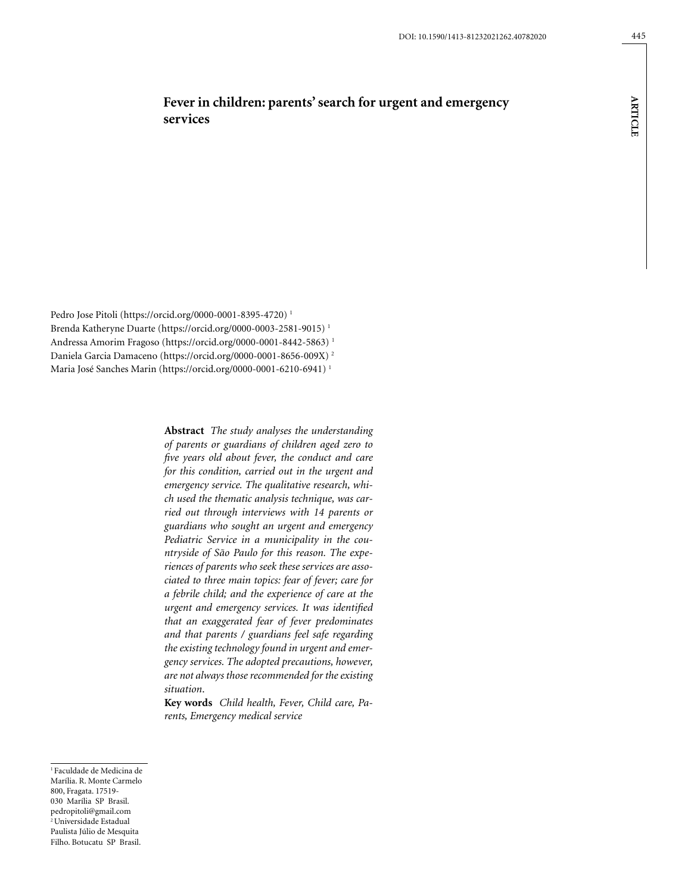# **Fever in children: parents' search for urgent and emergency services**

Pedro Jose Pitoli (https://orcid.org/0000-0001-8395-4720) 1 Brenda Katheryne Duarte (https://orcid.org/0000-0003-2581-9015) 1 Andressa Amorim Fragoso (https://orcid.org/0000-0001-8442-5863) 1 Daniela Garcia Damaceno (https://orcid.org/0000-0001-8656-009X) 2 Maria José Sanches Marin (https://orcid.org/0000-0001-6210-6941) 1

> **Abstract** *The study analyses the understanding of parents or guardians of children aged zero to five years old about fever, the conduct and care for this condition, carried out in the urgent and emergency service. The qualitative research, which used the thematic analysis technique, was carried out through interviews with 14 parents or guardians who sought an urgent and emergency Pediatric Service in a municipality in the countryside of São Paulo for this reason. The experiences of parents who seek these services are associated to three main topics: fear of fever; care for a febrile child; and the experience of care at the urgent and emergency services. It was identified that an exaggerated fear of fever predominates and that parents / guardians feel safe regarding the existing technology found in urgent and emergency services. The adopted precautions, however, are not always those recommended for the existing situation*.

**Key words** *Child health, Fever, Child care, Parents, Emergency medical service*

1 Faculdade de Medicina de Marília. R. Monte Carmelo 800, Fragata. 17519- 030 Marília SP Brasil. pedropitoli@gmail.com <sup>2</sup> Universidade Estadual Paulista Júlio de Mesquita Filho. Botucatu SP Brasil.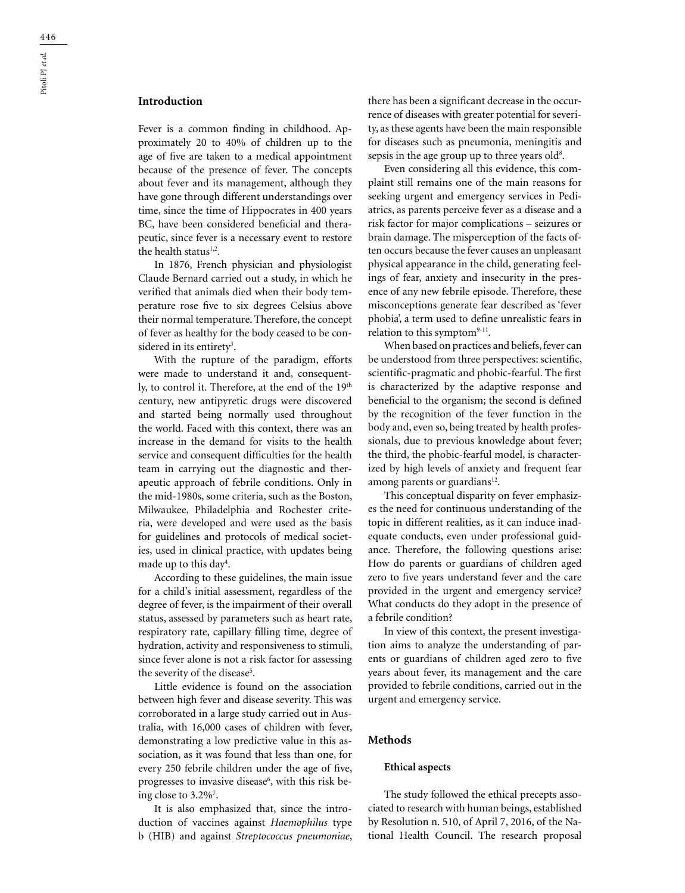# **Introduction**

Fever is a common finding in childhood. Approximately 20 to 40% of children up to the age of five are taken to a medical appointment because of the presence of fever. The concepts about fever and its management, although they have gone through different understandings over time, since the time of Hippocrates in 400 years BC, have been considered beneficial and therapeutic, since fever is a necessary event to restore the health status<sup>1,2</sup>.

In 1876, French physician and physiologist Claude Bernard carried out a study, in which he verified that animals died when their body temperature rose five to six degrees Celsius above their normal temperature. Therefore, the concept of fever as healthy for the body ceased to be considered in its entirety<sup>3</sup>.

With the rupture of the paradigm, efforts were made to understand it and, consequently, to control it. Therefore, at the end of the 19<sup>th</sup> century, new antipyretic drugs were discovered and started being normally used throughout the world. Faced with this context, there was an increase in the demand for visits to the health service and consequent difficulties for the health team in carrying out the diagnostic and therapeutic approach of febrile conditions. Only in the mid-1980s, some criteria, such as the Boston, Milwaukee, Philadelphia and Rochester criteria, were developed and were used as the basis for guidelines and protocols of medical societies, used in clinical practice, with updates being made up to this day4 .

According to these guidelines, the main issue for a child's initial assessment, regardless of the degree of fever, is the impairment of their overall status, assessed by parameters such as heart rate, respiratory rate, capillary filling time, degree of hydration, activity and responsiveness to stimuli, since fever alone is not a risk factor for assessing the severity of the disease<sup>5</sup>.

Little evidence is found on the association between high fever and disease severity. This was corroborated in a large study carried out in Australia, with 16,000 cases of children with fever, demonstrating a low predictive value in this association, as it was found that less than one, for every 250 febrile children under the age of five, progresses to invasive disease<sup>6</sup>, with this risk being close to 3.2%<sup>7</sup>.

It is also emphasized that, since the introduction of vaccines against *Haemophilus* type b (HIB) and against *Streptococcus pneumoniae*, there has been a significant decrease in the occurrence of diseases with greater potential for severity, as these agents have been the main responsible for diseases such as pneumonia, meningitis and sepsis in the age group up to three years old<sup>8</sup>.

Even considering all this evidence, this complaint still remains one of the main reasons for seeking urgent and emergency services in Pediatrics, as parents perceive fever as a disease and a risk factor for major complications – seizures or brain damage. The misperception of the facts often occurs because the fever causes an unpleasant physical appearance in the child, generating feelings of fear, anxiety and insecurity in the presence of any new febrile episode. Therefore, these misconceptions generate fear described as 'fever phobia', a term used to define unrealistic fears in relation to this symptom $9-11$ .

When based on practices and beliefs, fever can be understood from three perspectives: scientific, scientific-pragmatic and phobic-fearful. The first is characterized by the adaptive response and beneficial to the organism; the second is defined by the recognition of the fever function in the body and, even so, being treated by health professionals, due to previous knowledge about fever; the third, the phobic-fearful model, is characterized by high levels of anxiety and frequent fear among parents or guardians $12$ .

This conceptual disparity on fever emphasizes the need for continuous understanding of the topic in different realities, as it can induce inadequate conducts, even under professional guidance. Therefore, the following questions arise: How do parents or guardians of children aged zero to five years understand fever and the care provided in the urgent and emergency service? What conducts do they adopt in the presence of a febrile condition?

In view of this context, the present investigation aims to analyze the understanding of parents or guardians of children aged zero to five years about fever, its management and the care provided to febrile conditions, carried out in the urgent and emergency service.

# **Methods**

#### **Ethical aspects**

The study followed the ethical precepts associated to research with human beings, established by Resolution n. 510, of April 7, 2016, of the National Health Council. The research proposal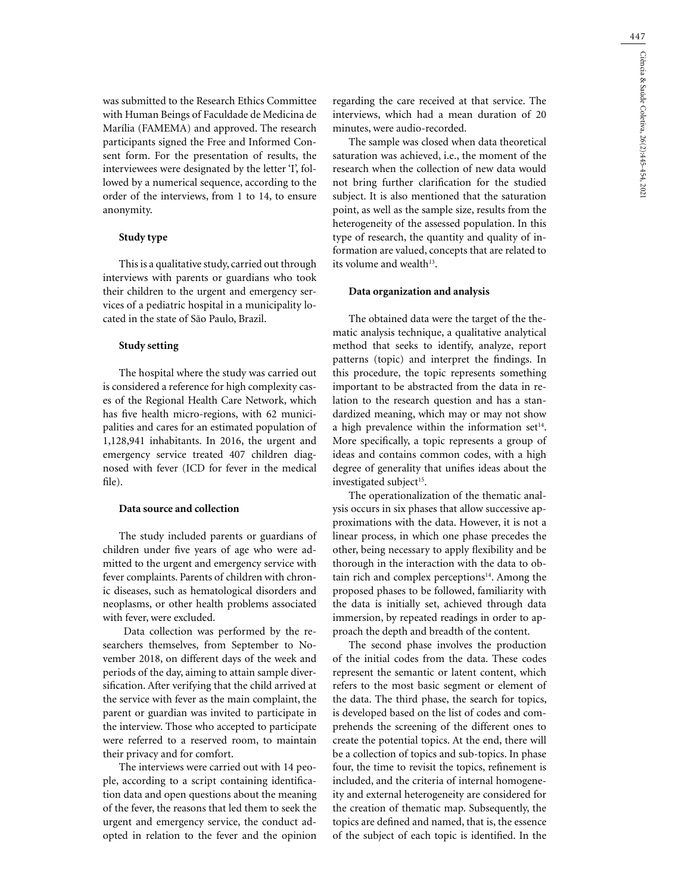was submitted to the Research Ethics Committee with Human Beings of Faculdade de Medicina de Marília (FAMEMA) and approved. The research participants signed the Free and Informed Consent form. For the presentation of results, the interviewees were designated by the letter 'I', followed by a numerical sequence, according to the order of the interviews, from 1 to 14, to ensure anonymity.

## **Study type**

This is a qualitative study, carried out through interviews with parents or guardians who took their children to the urgent and emergency services of a pediatric hospital in a municipality located in the state of São Paulo, Brazil.

### **Study setting**

The hospital where the study was carried out is considered a reference for high complexity cases of the Regional Health Care Network, which has five health micro-regions, with 62 municipalities and cares for an estimated population of 1,128,941 inhabitants. In 2016, the urgent and emergency service treated 407 children diagnosed with fever (ICD for fever in the medical file).

### **Data source and collection**

The study included parents or guardians of children under five years of age who were admitted to the urgent and emergency service with fever complaints. Parents of children with chronic diseases, such as hematological disorders and neoplasms, or other health problems associated with fever, were excluded.

 Data collection was performed by the researchers themselves, from September to November 2018, on different days of the week and periods of the day, aiming to attain sample diversification. After verifying that the child arrived at the service with fever as the main complaint, the parent or guardian was invited to participate in the interview. Those who accepted to participate were referred to a reserved room, to maintain their privacy and for comfort.

The interviews were carried out with 14 people, according to a script containing identification data and open questions about the meaning of the fever, the reasons that led them to seek the urgent and emergency service, the conduct adopted in relation to the fever and the opinion regarding the care received at that service. The interviews, which had a mean duration of 20 minutes, were audio-recorded.

The sample was closed when data theoretical saturation was achieved, i.e., the moment of the research when the collection of new data would not bring further clarification for the studied subject. It is also mentioned that the saturation point, as well as the sample size, results from the heterogeneity of the assessed population. In this type of research, the quantity and quality of information are valued, concepts that are related to its volume and wealth<sup>13</sup>.

#### **Data organization and analysis**

The obtained data were the target of the thematic analysis technique, a qualitative analytical method that seeks to identify, analyze, report patterns (topic) and interpret the findings. In this procedure, the topic represents something important to be abstracted from the data in relation to the research question and has a standardized meaning, which may or may not show a high prevalence within the information set $14$ . More specifically, a topic represents a group of ideas and contains common codes, with a high degree of generality that unifies ideas about the investigated subject<sup>15</sup>.

The operationalization of the thematic analysis occurs in six phases that allow successive approximations with the data. However, it is not a linear process, in which one phase precedes the other, being necessary to apply flexibility and be thorough in the interaction with the data to obtain rich and complex perceptions $14$ . Among the proposed phases to be followed, familiarity with the data is initially set, achieved through data immersion, by repeated readings in order to approach the depth and breadth of the content.

The second phase involves the production of the initial codes from the data. These codes represent the semantic or latent content, which refers to the most basic segment or element of the data. The third phase, the search for topics, is developed based on the list of codes and comprehends the screening of the different ones to create the potential topics. At the end, there will be a collection of topics and sub-topics. In phase four, the time to revisit the topics, refinement is included, and the criteria of internal homogeneity and external heterogeneity are considered for the creation of thematic map. Subsequently, the topics are defined and named, that is, the essence of the subject of each topic is identified. In the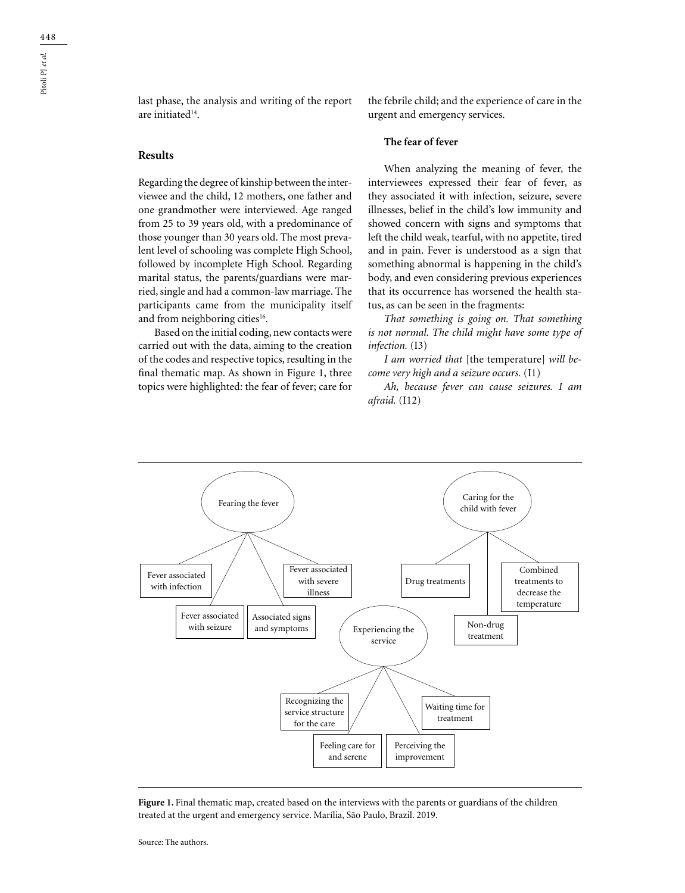last phase, the analysis and writing of the report are initiated<sup>14</sup>.

# **Results**

Regarding the degree of kinship between the interviewee and the child, 12 mothers, one father and one grandmother were interviewed. Age ranged from 25 to 39 years old, with a predominance of those younger than 30 years old. The most prevalent level of schooling was complete High School, followed by incomplete High School. Regarding marital status, the parents/guardians were married, single and had a common-law marriage. The participants came from the municipality itself and from neighboring cities<sup>16</sup>.

Based on the initial coding, new contacts were carried out with the data, aiming to the creation of the codes and respective topics, resulting in the final thematic map. As shown in Figure 1, three topics were highlighted: the fear of fever; care for the febrile child; and the experience of care in the urgent and emergency services.

### **The fear of fever**

When analyzing the meaning of fever, the interviewees expressed their fear of fever, as they associated it with infection, seizure, severe illnesses, belief in the child's low immunity and showed concern with signs and symptoms that left the child weak, tearful, with no appetite, tired and in pain. Fever is understood as a sign that something abnormal is happening in the child's body, and even considering previous experiences that its occurrence has worsened the health status, as can be seen in the fragments:

*That something is going on. That something is not normal. The child might have some type of infection.* (I3)

*I am worried that* [the temperature] *will become very high and a seizure occurs.* (I1)

*Ah, because fever can cause seizures. I am afraid.* (I12)



Figure 1. Final thematic map, created based on the interviews with the parents or guardians of the children treated at the urgent and emergency service. Marília, São Paulo, Brazil. 2019.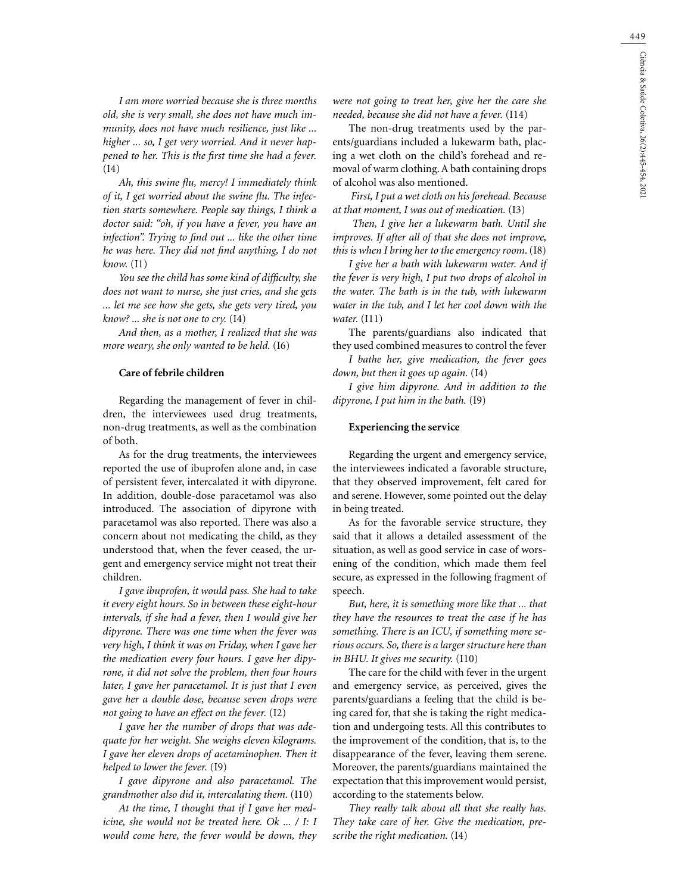*I am more worried because she is three months old, she is very small, she does not have much immunity, does not have much resilience, just like ... higher ... so, I get very worried. And it never happened to her. This is the first time she had a fever.* (I4)

*Ah, this swine flu, mercy! I immediately think of it, I get worried about the swine flu. The infection starts somewhere. People say things, I think a doctor said: "oh, if you have a fever, you have an infection". Trying to find out ... like the other time he was here. They did not find anything, I do not know.* (I1)

*You see the child has some kind of difficulty, she does not want to nurse, she just cries, and she gets ... let me see how she gets, she gets very tired, you know? ... she is not one to cry.* (I4)

*And then, as a mother, I realized that she was more weary, she only wanted to be held.* (I6)

### **Care of febrile children**

Regarding the management of fever in children, the interviewees used drug treatments, non-drug treatments, as well as the combination of both.

As for the drug treatments, the interviewees reported the use of ibuprofen alone and, in case of persistent fever, intercalated it with dipyrone. In addition, double-dose paracetamol was also introduced. The association of dipyrone with paracetamol was also reported. There was also a concern about not medicating the child, as they understood that, when the fever ceased, the urgent and emergency service might not treat their children.

*I gave ibuprofen, it would pass. She had to take it every eight hours. So in between these eight-hour intervals, if she had a fever, then I would give her dipyrone. There was one time when the fever was very high, I think it was on Friday, when I gave her the medication every four hours. I gave her dipyrone, it did not solve the problem, then four hours later, I gave her paracetamol. It is just that I even gave her a double dose, because seven drops were not going to have an effect on the fever.* (I2)

*I gave her the number of drops that was adequate for her weight. She weighs eleven kilograms. I gave her eleven drops of acetaminophen. Then it helped to lower the fever.* (I9)

*I gave dipyrone and also paracetamol. The grandmother also did it, intercalating them.* (I10)

*At the time, I thought that if I gave her medicine, she would not be treated here. Ok ... / I: I would come here, the fever would be down, they*  *were not going to treat her, give her the care she needed, because she did not have a fever.* (I14)

The non-drug treatments used by the parents/guardians included a lukewarm bath, placing a wet cloth on the child's forehead and removal of warm clothing. A bath containing drops of alcohol was also mentioned.

 *First, I put a wet cloth on his forehead. Because at that moment, I was out of medication.* (I3)

 *Then, I give her a lukewarm bath. Until she improves. If after all of that she does not improve, this is when I bring her to the emergency room*. (I8)

*I give her a bath with lukewarm water. And if the fever is very high, I put two drops of alcohol in the water. The bath is in the tub, with lukewarm water in the tub, and I let her cool down with the water.* (I11)

The parents/guardians also indicated that they used combined measures to control the fever

*I bathe her, give medication, the fever goes down, but then it goes up again.* (I4)

*I give him dipyrone. And in addition to the dipyrone, I put him in the bath.* (I9)

#### **Experiencing the service**

Regarding the urgent and emergency service, the interviewees indicated a favorable structure, that they observed improvement, felt cared for and serene. However, some pointed out the delay in being treated.

As for the favorable service structure, they said that it allows a detailed assessment of the situation, as well as good service in case of worsening of the condition, which made them feel secure, as expressed in the following fragment of speech.

*But, here, it is something more like that ... that they have the resources to treat the case if he has something. There is an ICU, if something more serious occurs. So, there is a larger structure here than in BHU. It gives me security.* (I10)

The care for the child with fever in the urgent and emergency service, as perceived, gives the parents/guardians a feeling that the child is being cared for, that she is taking the right medication and undergoing tests. All this contributes to the improvement of the condition, that is, to the disappearance of the fever, leaving them serene. Moreover, the parents/guardians maintained the expectation that this improvement would persist, according to the statements below.

*They really talk about all that she really has. They take care of her. Give the medication, prescribe the right medication.* (I4)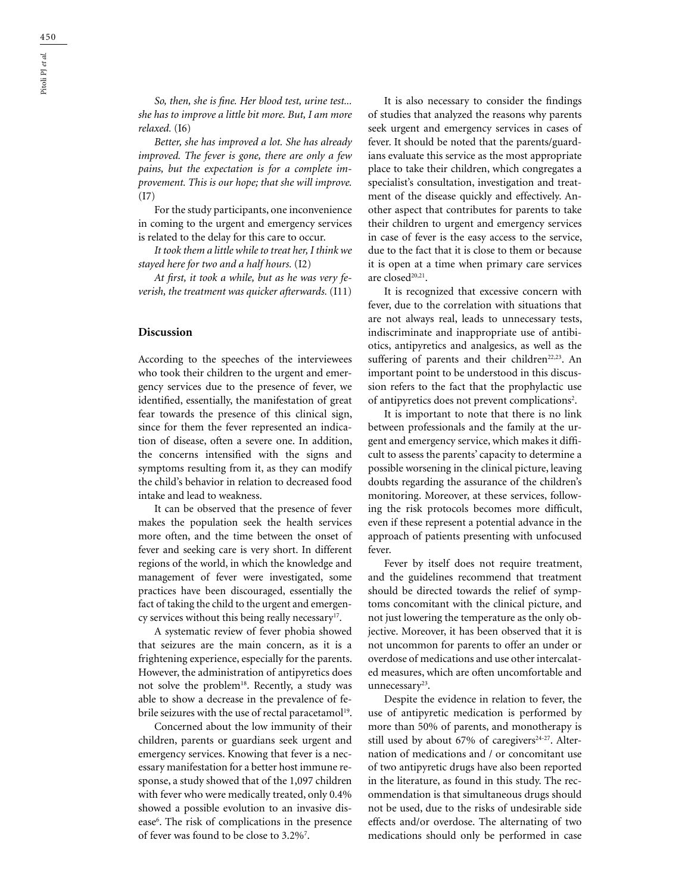*So, then, she is fine. Her blood test, urine test... she has to improve a little bit more. But, I am more relaxed.* (I6)

*Better, she has improved a lot. She has already improved. The fever is gone, there are only a few pains, but the expectation is for a complete improvement. This is our hope; that she will improve.*  (I7)

For the study participants, one inconvenience in coming to the urgent and emergency services is related to the delay for this care to occur.

*It took them a little while to treat her, I think we stayed here for two and a half hours.* (I2)

*At first, it took a while, but as he was very feverish, the treatment was quicker afterwards.* (I11)

### **Discussion**

According to the speeches of the interviewees who took their children to the urgent and emergency services due to the presence of fever, we identified, essentially, the manifestation of great fear towards the presence of this clinical sign, since for them the fever represented an indication of disease, often a severe one. In addition, the concerns intensified with the signs and symptoms resulting from it, as they can modify the child's behavior in relation to decreased food intake and lead to weakness.

It can be observed that the presence of fever makes the population seek the health services more often, and the time between the onset of fever and seeking care is very short. In different regions of the world, in which the knowledge and management of fever were investigated, some practices have been discouraged, essentially the fact of taking the child to the urgent and emergency services without this being really necessary<sup>17</sup>.

A systematic review of fever phobia showed that seizures are the main concern, as it is a frightening experience, especially for the parents. However, the administration of antipyretics does not solve the problem<sup>18</sup>. Recently, a study was able to show a decrease in the prevalence of febrile seizures with the use of rectal paracetamol<sup>19</sup>.

Concerned about the low immunity of their children, parents or guardians seek urgent and emergency services. Knowing that fever is a necessary manifestation for a better host immune response, a study showed that of the 1,097 children with fever who were medically treated, only 0.4% showed a possible evolution to an invasive disease<sup>6</sup>. The risk of complications in the presence of fever was found to be close to 3.2%<sup>7</sup>.

It is also necessary to consider the findings of studies that analyzed the reasons why parents seek urgent and emergency services in cases of fever. It should be noted that the parents/guardians evaluate this service as the most appropriate place to take their children, which congregates a specialist's consultation, investigation and treatment of the disease quickly and effectively. Another aspect that contributes for parents to take their children to urgent and emergency services in case of fever is the easy access to the service, due to the fact that it is close to them or because it is open at a time when primary care services are closed<sup>20,21</sup>.

It is recognized that excessive concern with fever, due to the correlation with situations that are not always real, leads to unnecessary tests, indiscriminate and inappropriate use of antibiotics, antipyretics and analgesics, as well as the suffering of parents and their children<sup>22,23</sup>. An important point to be understood in this discussion refers to the fact that the prophylactic use of antipyretics does not prevent complications<sup>2</sup>.

It is important to note that there is no link between professionals and the family at the urgent and emergency service, which makes it difficult to assess the parents' capacity to determine a possible worsening in the clinical picture, leaving doubts regarding the assurance of the children's monitoring. Moreover, at these services, following the risk protocols becomes more difficult, even if these represent a potential advance in the approach of patients presenting with unfocused fever.

Fever by itself does not require treatment, and the guidelines recommend that treatment should be directed towards the relief of symptoms concomitant with the clinical picture, and not just lowering the temperature as the only objective. Moreover, it has been observed that it is not uncommon for parents to offer an under or overdose of medications and use other intercalated measures, which are often uncomfortable and unnecessary<sup>23</sup>.

Despite the evidence in relation to fever, the use of antipyretic medication is performed by more than 50% of parents, and monotherapy is still used by about 67% of caregivers<sup>24-27</sup>. Alternation of medications and / or concomitant use of two antipyretic drugs have also been reported in the literature, as found in this study. The recommendation is that simultaneous drugs should not be used, due to the risks of undesirable side effects and/or overdose. The alternating of two medications should only be performed in case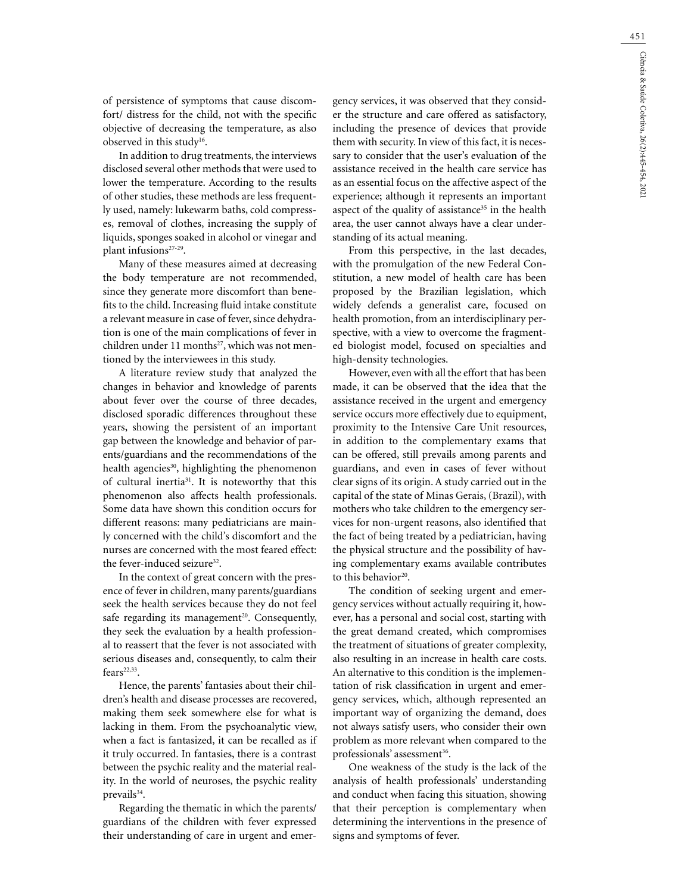of persistence of symptoms that cause discomfort/ distress for the child, not with the specific objective of decreasing the temperature, as also observed in this study<sup>16</sup>.

In addition to drug treatments, the interviews disclosed several other methods that were used to lower the temperature. According to the results of other studies, these methods are less frequently used, namely: lukewarm baths, cold compresses, removal of clothes, increasing the supply of liquids, sponges soaked in alcohol or vinegar and plant infusions<sup>27-29</sup>.

Many of these measures aimed at decreasing the body temperature are not recommended, since they generate more discomfort than benefits to the child. Increasing fluid intake constitute a relevant measure in case of fever, since dehydration is one of the main complications of fever in children under 11 months<sup>27</sup>, which was not mentioned by the interviewees in this study.

A literature review study that analyzed the changes in behavior and knowledge of parents about fever over the course of three decades, disclosed sporadic differences throughout these years, showing the persistent of an important gap between the knowledge and behavior of parents/guardians and the recommendations of the health agencies<sup>30</sup>, highlighting the phenomenon of cultural inertia31. It is noteworthy that this phenomenon also affects health professionals. Some data have shown this condition occurs for different reasons: many pediatricians are mainly concerned with the child's discomfort and the nurses are concerned with the most feared effect: the fever-induced seizure<sup>32</sup>.

In the context of great concern with the presence of fever in children, many parents/guardians seek the health services because they do not feel safe regarding its management $20$ . Consequently, they seek the evaluation by a health professional to reassert that the fever is not associated with serious diseases and, consequently, to calm their  $fears^{22,33}$ .

Hence, the parents' fantasies about their children's health and disease processes are recovered, making them seek somewhere else for what is lacking in them. From the psychoanalytic view, when a fact is fantasized, it can be recalled as if it truly occurred. In fantasies, there is a contrast between the psychic reality and the material reality. In the world of neuroses, the psychic reality prevails<sup>34</sup>.

Regarding the thematic in which the parents/ guardians of the children with fever expressed their understanding of care in urgent and emergency services, it was observed that they consider the structure and care offered as satisfactory, including the presence of devices that provide them with security. In view of this fact, it is necessary to consider that the user's evaluation of the assistance received in the health care service has as an essential focus on the affective aspect of the experience; although it represents an important aspect of the quality of assistance<sup>35</sup> in the health area, the user cannot always have a clear understanding of its actual meaning.

From this perspective, in the last decades, with the promulgation of the new Federal Constitution, a new model of health care has been proposed by the Brazilian legislation, which widely defends a generalist care, focused on health promotion, from an interdisciplinary perspective, with a view to overcome the fragmented biologist model, focused on specialties and high-density technologies.

However, even with all the effort that has been made, it can be observed that the idea that the assistance received in the urgent and emergency service occurs more effectively due to equipment, proximity to the Intensive Care Unit resources, in addition to the complementary exams that can be offered, still prevails among parents and guardians, and even in cases of fever without clear signs of its origin. A study carried out in the capital of the state of Minas Gerais, (Brazil), with mothers who take children to the emergency services for non-urgent reasons, also identified that the fact of being treated by a pediatrician, having the physical structure and the possibility of having complementary exams available contributes to this behavior<sup>20</sup>.

The condition of seeking urgent and emergency services without actually requiring it, however, has a personal and social cost, starting with the great demand created, which compromises the treatment of situations of greater complexity, also resulting in an increase in health care costs. An alternative to this condition is the implementation of risk classification in urgent and emergency services, which, although represented an important way of organizing the demand, does not always satisfy users, who consider their own problem as more relevant when compared to the professionals' assessment<sup>36</sup>.

One weakness of the study is the lack of the analysis of health professionals' understanding and conduct when facing this situation, showing that their perception is complementary when determining the interventions in the presence of signs and symptoms of fever.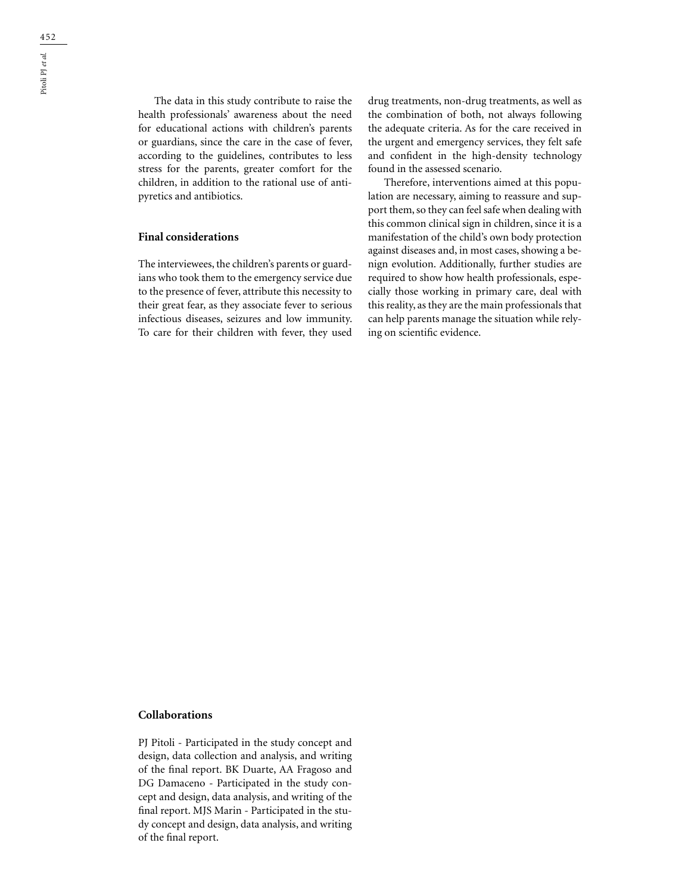The data in this study contribute to raise the health professionals' awareness about the need for educational actions with children's parents or guardians, since the care in the case of fever, according to the guidelines, contributes to less stress for the parents, greater comfort for the children, in addition to the rational use of antipyretics and antibiotics.

# **Final considerations**

The interviewees, the children's parents or guardians who took them to the emergency service due to the presence of fever, attribute this necessity to their great fear, as they associate fever to serious infectious diseases, seizures and low immunity. To care for their children with fever, they used

drug treatments, non-drug treatments, as well as the combination of both, not always following the adequate criteria. As for the care received in the urgent and emergency services, they felt safe and confident in the high-density technology found in the assessed scenario.

Therefore, interventions aimed at this population are necessary, aiming to reassure and support them, so they can feel safe when dealing with this common clinical sign in children, since it is a manifestation of the child's own body protection against diseases and, in most cases, showing a benign evolution. Additionally, further studies are required to show how health professionals, especially those working in primary care, deal with this reality, as they are the main professionals that can help parents manage the situation while relying on scientific evidence.

### **Collaborations**

PJ Pitoli - Participated in the study concept and design, data collection and analysis, and writing of the final report. BK Duarte, AA Fragoso and DG Damaceno - Participated in the study concept and design, data analysis, and writing of the final report. MJS Marin - Participated in the study concept and design, data analysis, and writing of the final report.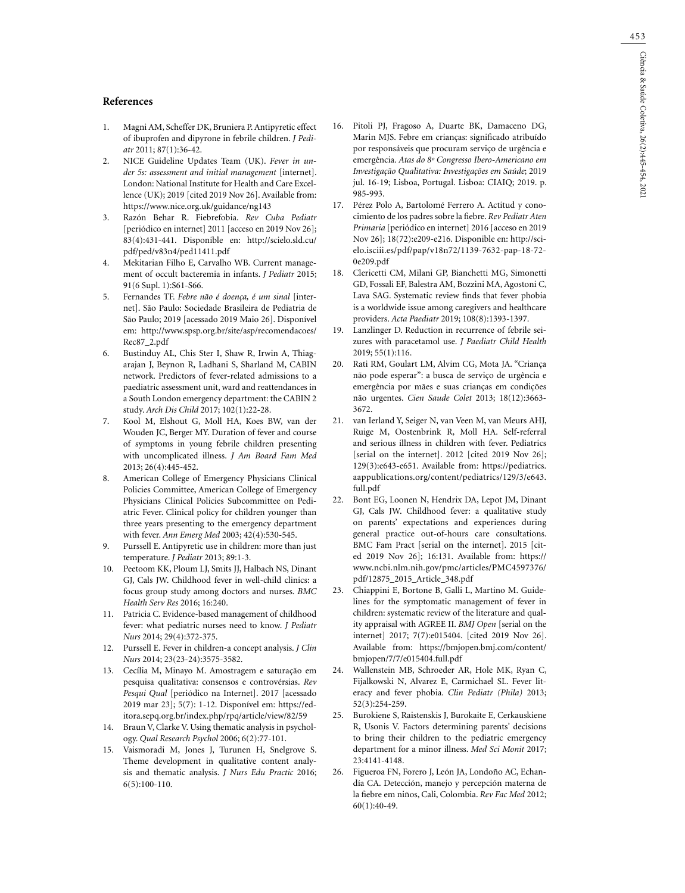### **References**

- 1. Magni AM, Scheffer DK, Bruniera P. Antipyretic effect of ibuprofen and dipyrone in febrile children. *J Pediatr* 2011; 87(1):36-42.
- 2. NICE Guideline Updates Team (UK). *Fever in under 5s: assessment and initial management* [internet]. London: National Institute for Health and Care Excellence (UK); 2019 [cited 2019 Nov 26]. Available from: https://www.nice.org.uk/guidance/ng143
- 3. Razón Behar R. Fiebrefobia. *Rev Cuba Pediatr* [periódico en internet] 2011 [acceso en 2019 Nov 26]; 83(4):431-441. Disponible en: http://scielo.sld.cu/ pdf/ped/v83n4/ped11411.pdf
- 4. Mekitarian Filho E, Carvalho WB. Current management of occult bacteremia in infants. *J Pediatr* 2015; 91(6 Supl. 1):S61-S66.
- 5. Fernandes TF. *Febre não é doença, é um sinal* [internet]. São Paulo: Sociedade Brasileira de Pediatria de São Paulo; 2019 [acessado 2019 Maio 26]. Disponível em: http://www.spsp.org.br/site/asp/recomendacoes/ Rec87\_2.pdf
- 6. Bustinduy AL, Chis Ster I, Shaw R, Irwin A, Thiagarajan J, Beynon R, Ladhani S, Sharland M, CABIN network. Predictors of fever-related admissions to a paediatric assessment unit, ward and reattendances in a South London emergency department: the CABIN 2 study. *Arch Dis Child* 2017; 102(1):22-28.
- 7. Kool M, Elshout G, Moll HA, Koes BW, van der Wouden JC, Berger MY. Duration of fever and course of symptoms in young febrile children presenting with uncomplicated illness. *J Am Board Fam Med* 2013; 26(4):445-452.
- 8. American College of Emergency Physicians Clinical Policies Committee, American College of Emergency Physicians Clinical Policies Subcommittee on Pediatric Fever. Clinical policy for children younger than three years presenting to the emergency department with fever. *Ann Emerg Med* 2003; 42(4):530-545.
- 9. Purssell E. Antipyretic use in children: more than just temperature. *J Pediatr* 2013; 89:1-3.
- 10. Peetoom KK, Ploum LJ, Smits JJ, Halbach NS, Dinant GJ, Cals JW. Childhood fever in well-child clinics: a focus group study among doctors and nurses. *BMC Health Serv Res* 2016; 16:240.
- 11. Patricia C. Evidence-based management of childhood fever: what pediatric nurses need to know. *J Pediatr Nurs* 2014; 29(4):372-375.
- 12. Purssell E. Fever in children-a concept analysis. *J Clin Nurs* 2014; 23(23-24):3575-3582.
- 13. Cecília M, Minayo M. Amostragem e saturação em pesquisa qualitativa: consensos e controvérsias. *Rev*  Pesqui Qual [periódico na Internet]. 2017 [acessado 2019 mar 23]; 5(7): 1-12. Disponível em: https://editora.sepq.org.br/index.php/rpq/article/view/82/59
- 14. Braun V, Clarke V. Using thematic analysis in psychology. *Qual Research Psychol* 2006; 6(2):77-101.
- 15. Vaismoradi M, Jones J, Turunen H, Snelgrove S. Theme development in qualitative content analysis and thematic analysis. *J Nurs Edu Practic* 2016; 6(5):100-110.
- 16. Pitoli PJ, Fragoso A, Duarte BK, Damaceno DG, Marin MJS. Febre em crianças: significado atribuído por responsáveis que procuram serviço de urgência e emergência. *Atas do 8º Congresso Ibero-Americano em Investigação Qualitativa: Investigações em Saúde*; 2019 jul. 16-19; Lisboa, Portugal. Lisboa: CIAIQ; 2019. p. 985-993.
- 17. Pérez Polo A, Bartolomé Ferrero A. Actitud y conocimiento de los padres sobre la fiebre. *Rev Pediatr Aten Primaria* [periódico en internet] 2016 [acceso en 2019 Nov 26]; 18(72):e209-e216. Disponible en: http://scielo.isciii.es/pdf/pap/v18n72/1139-7632-pap-18-72- 0e209.pdf
- 18. Clericetti CM, Milani GP, Bianchetti MG, Simonetti GD, Fossali EF, Balestra AM, Bozzini MA, Agostoni C, Lava SAG. Systematic review finds that fever phobia is a worldwide issue among caregivers and healthcare providers. *Acta Paediatr* 2019; 108(8):1393-1397.
- 19. Lanzlinger D. Reduction in recurrence of febrile seizures with paracetamol use. *J Paediatr Child Health* 2019; 55(1):116.
- 20. Rati RM, Goulart LM, Alvim CG, Mota JA. "Criança não pode esperar": a busca de serviço de urgência e emergência por mães e suas crianças em condições não urgentes. *Cien Saude Colet* 2013; 18(12):3663- 3672.
- 21. van Ierland Y, Seiger N, van Veen M, van Meurs AHJ, Ruige M, Oostenbrink R, Moll HA. Self-referral and serious illness in children with fever. Pediatrics [serial on the internet]. 2012 [cited 2019 Nov 26]; 129(3):e643-e651. Available from: https://pediatrics. aappublications.org/content/pediatrics/129/3/e643. full.pdf
- 22. Bont EG, Loonen N, Hendrix DA, Lepot JM, Dinant GJ, Cals JW. Childhood fever: a qualitative study on parents' expectations and experiences during general practice out-of-hours care consultations. BMC Fam Pract [serial on the internet]. 2015 [cited 2019 Nov 26]; 16:131. Available from: https:// www.ncbi.nlm.nih.gov/pmc/articles/PMC4597376/ pdf/12875\_2015\_Article\_348.pdf
- 23. Chiappini E, Bortone B, Galli L, Martino M. Guidelines for the symptomatic management of fever in children: systematic review of the literature and quality appraisal with AGREE II. *BMJ Open* [serial on the internet] 2017; 7(7):e015404. [cited 2019 Nov 26]. Available from: https://bmjopen.bmj.com/content/ bmjopen/7/7/e015404.full.pdf
- 24. Wallenstein MB, Schroeder AR, Hole MK, Ryan C, Fijalkowski N, Alvarez E, Carmichael SL. Fever literacy and fever phobia. *Clin Pediatr (Phila)* 2013; 52(3):254-259.
- 25. Burokiene S, Raistenskis J, Burokaite E, Cerkauskiene R, Usonis V. Factors determining parents' decisions to bring their children to the pediatric emergency department for a minor illness. *Med Sci Monit* 2017; 23:4141-4148.
- 26. Figueroa FN, Forero J, León JA, Londoño AC, Echandía CA. Detección, manejo y percepción materna de la fiebre em niños, Cali, Colombia. *Rev Fac Med* 2012; 60(1):40-49.